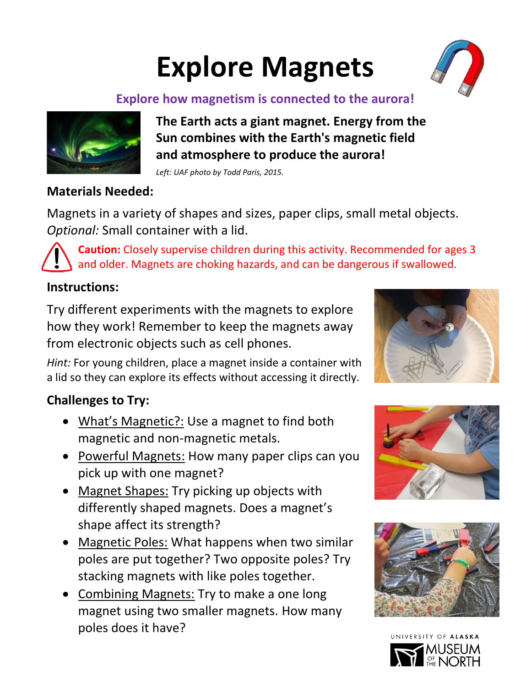## **Explore Magnets**



#### **Explore how magnetism is connected to the aurora!**



**The Earth acts a giant magnet. Energy from the Sun combines with the Earth's magnetic field and atmosphere to produce the aurora!** 

*Left: UAF photo by Todd Paris, 2015.* 

#### **Materials Needed:**

Magnets in a variety of shapes and sizes, paper clips, small metal objects. *Optional:* Small container with a lid.

**Caution:** Closely supervise children during this activity. Recommended for ages 3 and older. Magnets are choking hazards, and can be dangerous if swallowed.

#### **Instructions:**

Try different experiments with the magnets to explore how they work! Remember to keep the magnets away from electronic objects such as cell phones.

*Hint:* For young children, place a magnet inside a container with a lid so they can explore its effects without accessing it directly.

#### **Challenges to Try:**

- What's Magnetic?: Use a magnet to find both magnetic and non-magnetic metals.
- Powerful Magnets: How many paper clips can you pick up with one magnet?
- Magnet Shapes: Try picking up objects with differently shaped magnets. Does a magnet's shape affect its strength?
- Magnetic Poles: What happens when two similar poles are put together? Two opposite poles? Try stacking magnets with like poles together.
- Combining Magnets: Try to make a one long magnet using two smaller magnets. How many poles does it have?